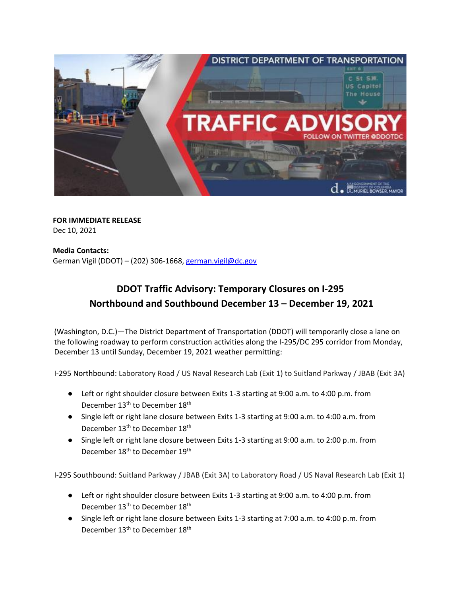

 **FOR IMMEDIATE RELEASE** Dec 10, 2021

 **Media Contacts:**  German Vigil (DDOT) – (202) 306-1668, [german.vigil@dc.gov](mailto:german.vigil@dc.gov)

## **DDOT Traffic Advisory: Temporary Closures on I-295 Northbound and Southbound December 13 – December 19, 2021**

(Washington, D.C.)—The District Department of Transportation (DDOT) will temporarily close a lane on the following roadway to perform construction activities along the I-295/DC 295 corridor from Monday, December 13 until Sunday, December 19, 2021 weather permitting:

I-295 Northbound: Laboratory Road / US Naval Research Lab (Exit 1) to Suitland Parkway / JBAB (Exit 3A)

- Left or right shoulder closure between Exits 1-3 starting at 9:00 a.m. to 4:00 p.m. from December 13<sup>th</sup> to December 18<sup>th</sup>
- Single left or right lane closure between Exits 1-3 starting at 9:00 a.m. to 4:00 a.m. from December 13<sup>th</sup> to December 18<sup>th</sup>
- Single left or right lane closure between Exits 1-3 starting at 9:00 a.m. to 2:00 p.m. from December 18<sup>th</sup> to December 19<sup>th</sup>

I-295 Southbound: Suitland Parkway / JBAB (Exit 3A) to Laboratory Road / US Naval Research Lab (Exit 1)

- Left or right shoulder closure between Exits 1-3 starting at 9:00 a.m. to 4:00 p.m. from December 13<sup>th</sup> to December 18<sup>th</sup>
- Single left or right lane closure between Exits 1-3 starting at 7:00 a.m. to 4:00 p.m. from December 13<sup>th</sup> to December 18<sup>th</sup>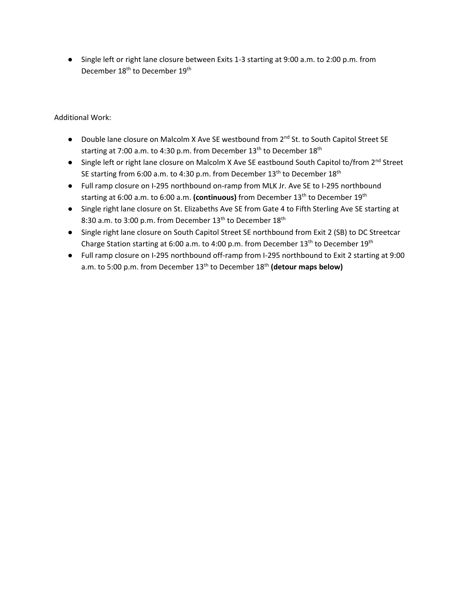● Single left or right lane closure between Exits 1-3 starting at 9:00 a.m. to 2:00 p.m. from December 18<sup>th</sup> to December 19<sup>th</sup>

Additional Work:

- Double lane closure on Malcolm X Ave SE westbound from 2<sup>nd</sup> St. to South Capitol Street SE starting at 7:00 a.m. to 4:30 p.m. from December  $13<sup>th</sup>$  to December  $18<sup>th</sup>$
- Single left or right lane closure on Malcolm X Ave SE eastbound South Capitol to/from 2<sup>nd</sup> Street SE starting from 6:00 a.m. to 4:30 p.m. from December 13<sup>th</sup> to December 18<sup>th</sup>
- Full ramp closure on I-295 northbound on-ramp from MLK Jr. Ave SE to I-295 northbound starting at 6:00 a.m. to 6:00 a.m. (continuous) from December 13<sup>th</sup> to December 19<sup>th</sup>
- Single right lane closure on St. Elizabeths Ave SE from Gate 4 to Fifth Sterling Ave SE starting at 8:30 a.m. to 3:00 p.m. from December 13<sup>th</sup> to December 18<sup>th</sup>
- Single right lane closure on South Capitol Street SE northbound from Exit 2 (SB) to DC Streetcar Charge Station starting at 6:00 a.m. to 4:00 p.m. from December 13<sup>th</sup> to December 19<sup>th</sup>
- Full ramp closure on I-295 northbound off-ramp from I-295 northbound to Exit 2 starting at 9:00 a.m. to 5:00 p.m. from December 13<sup>th</sup> to December 18<sup>th</sup> (detour maps below)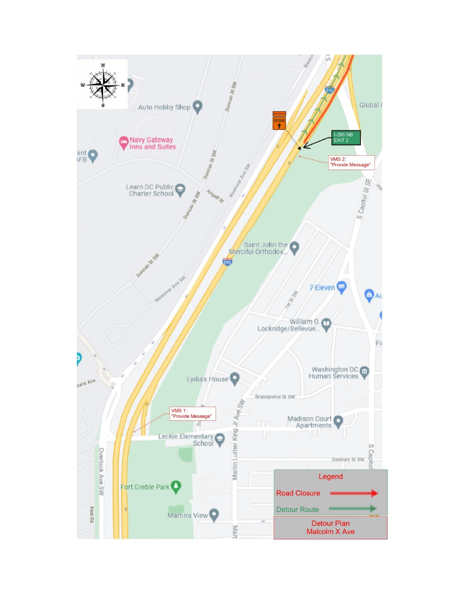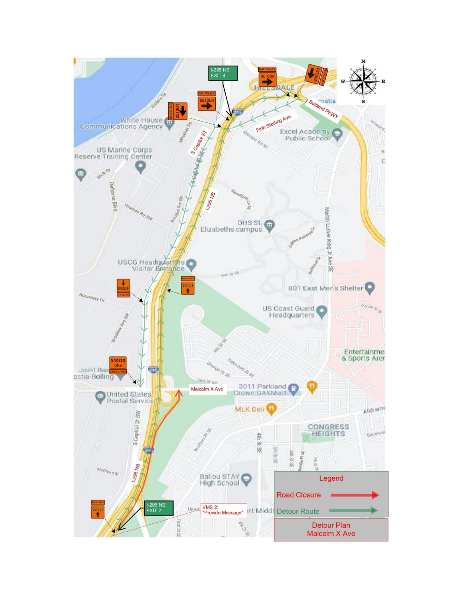